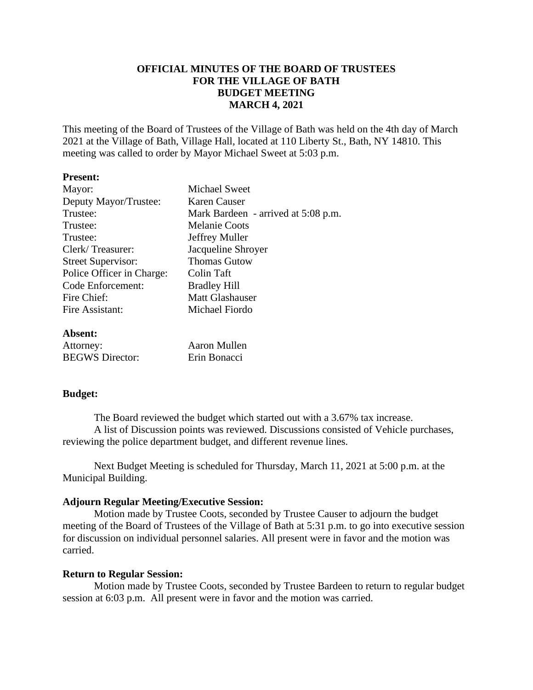## **OFFICIAL MINUTES OF THE BOARD OF TRUSTEES FOR THE VILLAGE OF BATH BUDGET MEETING MARCH 4, 2021**

This meeting of the Board of Trustees of the Village of Bath was held on the 4th day of March 2021 at the Village of Bath, Village Hall, located at 110 Liberty St., Bath, NY 14810. This meeting was called to order by Mayor Michael Sweet at 5:03 p.m.

#### **Present:**

| Mayor:                    | Michael Sweet                             |
|---------------------------|-------------------------------------------|
| Deputy Mayor/Trustee:     | Karen Causer                              |
| Trustee:                  | Mark Bardeen - arrived at 5:08 p.m.       |
| Trustee:                  | <b>Melanie Coots</b>                      |
| Trustee:                  | Jeffrey Muller                            |
| Clerk/Treasurer:          | Jacqueline Shroyer                        |
| <b>Street Supervisor:</b> | <b>Thomas Gutow</b>                       |
| Police Officer in Charge: | Colin Taft                                |
| Code Enforcement:         | <b>Bradley Hill</b>                       |
| Fire Chief:               | <b>Matt Glashauser</b>                    |
| Fire Assistant:           | Michael Fiordo                            |
| Absent:                   |                                           |
| $A + 4 - 222 - 722$       | $\Lambda$ and $\Lambda$ $\Lambda$ -11 and |

| Attorney:              | Aaron Mullen |
|------------------------|--------------|
| <b>BEGWS</b> Director: | Erin Bonacci |

### **Budget:**

The Board reviewed the budget which started out with a 3.67% tax increase. A list of Discussion points was reviewed. Discussions consisted of Vehicle purchases, reviewing the police department budget, and different revenue lines.

Next Budget Meeting is scheduled for Thursday, March 11, 2021 at 5:00 p.m. at the Municipal Building.

### **Adjourn Regular Meeting/Executive Session:**

Motion made by Trustee Coots, seconded by Trustee Causer to adjourn the budget meeting of the Board of Trustees of the Village of Bath at 5:31 p.m. to go into executive session for discussion on individual personnel salaries. All present were in favor and the motion was carried.

### **Return to Regular Session:**

Motion made by Trustee Coots, seconded by Trustee Bardeen to return to regular budget session at 6:03 p.m. All present were in favor and the motion was carried.